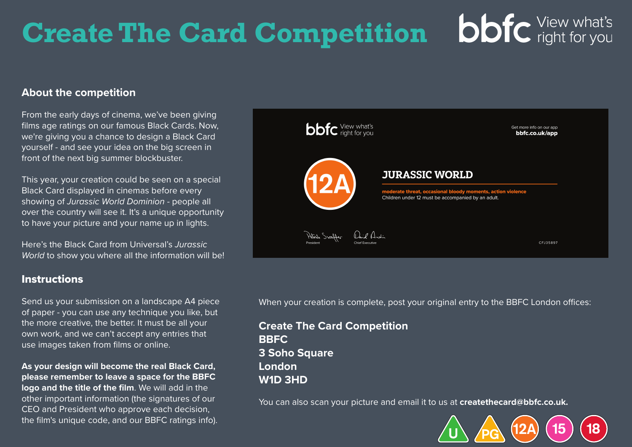## **bbfc** View what's **Create The Card Competition**

## **About the competition**

From the early days of cinema, we've been giving films age ratings on our famous Black Cards. Now, we're giving you a chance to design a Black Card yourself - and see your idea on the big screen in front of the next big summer blockbuster.

This year, your creation could be seen on a special Black Card displayed in cinemas before every showing of *Jurassic World Dominion* - people all over the country will see it. It's a unique opportunity to have your picture and your name up in lights.

Here's the Black Card from Universal's *Jurassic World* to show you where all the information will be!

## Instructions

Send us your submission on a landscape A4 piece of paper - you can use any technique you like, but the more creative, the better. It must be all your own work, and we can't accept any entries that use images taken from films or online.

**As your design will become the real Black Card, please remember to leave a space for the BBFC logo and the title of the film**. We will add in the other important information (the signatures of our CEO and President who approve each decision, the film's unique code, and our BBFC ratings info).



When your creation is complete, post your original entry to the BBFC London offices:

**Create The Card Competition BBFC 3 Soho Square London W1D 3HD**

You can also scan your picture and email it to us at **createthecard@bbfc.co.uk.**